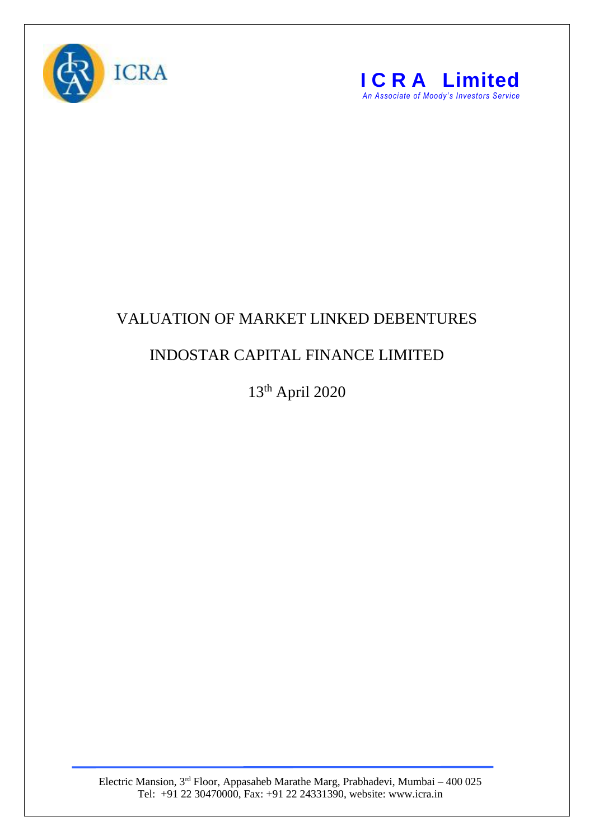



## VALUATION OF MARKET LINKED DEBENTURES

## INDOSTAR CAPITAL FINANCE LIMITED

13th April 2020

Electric Mansion, 3<sup>rd</sup> Floor, Appasaheb Marathe Marg, Prabhadevi, Mumbai – 400 025 Tel: +91 22 30470000, Fax: +91 22 24331390, website: www.icra.in